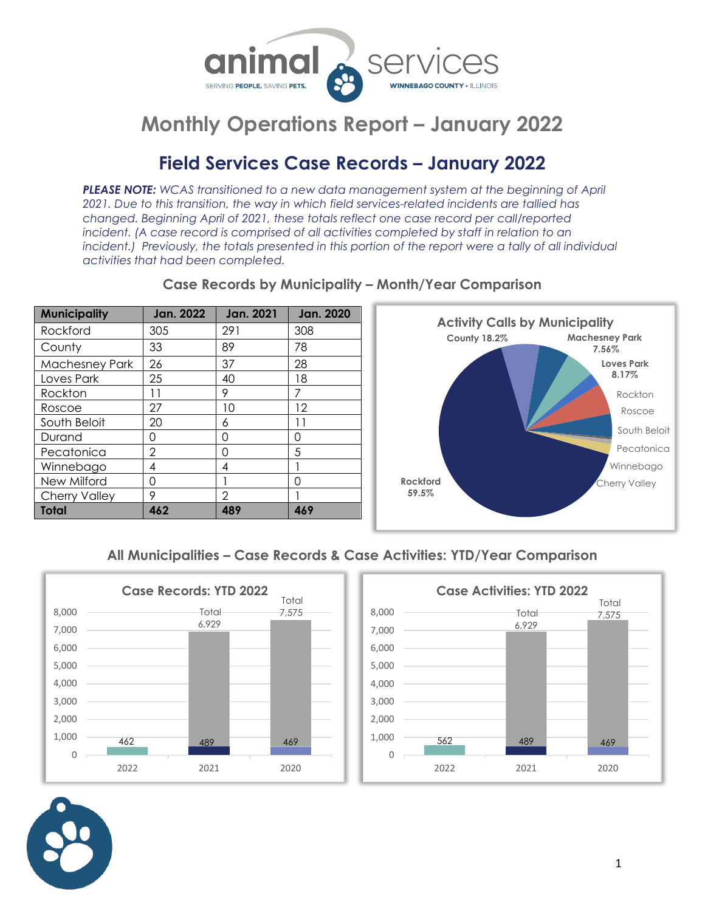

### **Field Services Case Records – January 2022**

*PLEASE NOTE: WCAS transitioned to a new data management system at the beginning of April 2021. Due to this transition, the way in which field services-related incidents are tallied has changed. Beginning April of 2021, these totals reflect one case record per call/reported*  incident. (A case record is comprised of all activities completed by staff in relation to an incident.) Previously, the totals presented in this portion of the report were a tally of all individual *activities that had been completed.*

| <b>Municipality</b>   | Jan. 2022 | <b>Jan. 2021</b> | <b>Jan. 2020</b> |
|-----------------------|-----------|------------------|------------------|
| Rockford              | 305       | 291              | 308              |
| County                | 33        | 89               | 78               |
| <b>Machesney Park</b> | 26        | 37               | 28               |
| Loves Park            | 25        | 40               | 18               |
| Rockton               | 11        | 9                | 7                |
| Roscoe                | 27        | 10               | 12               |
| South Beloit          | 20        | 6                | 11               |
| Durand                | Ω         | Ω                | Ω                |
| Pecatonica            | 2         | ∩                | 5                |
| Winnebago             | 4         | 4                |                  |
| New Milford           | ∩         |                  | ∩                |
| <b>Cherry Valley</b>  | 9         | 2                |                  |
| Total                 | 462       | 489              | 469              |

#### **Case Records by Municipality – Month/Year Comparison**



**All Municipalities – Case Records & Case Activities: YTD/Year Comparison**





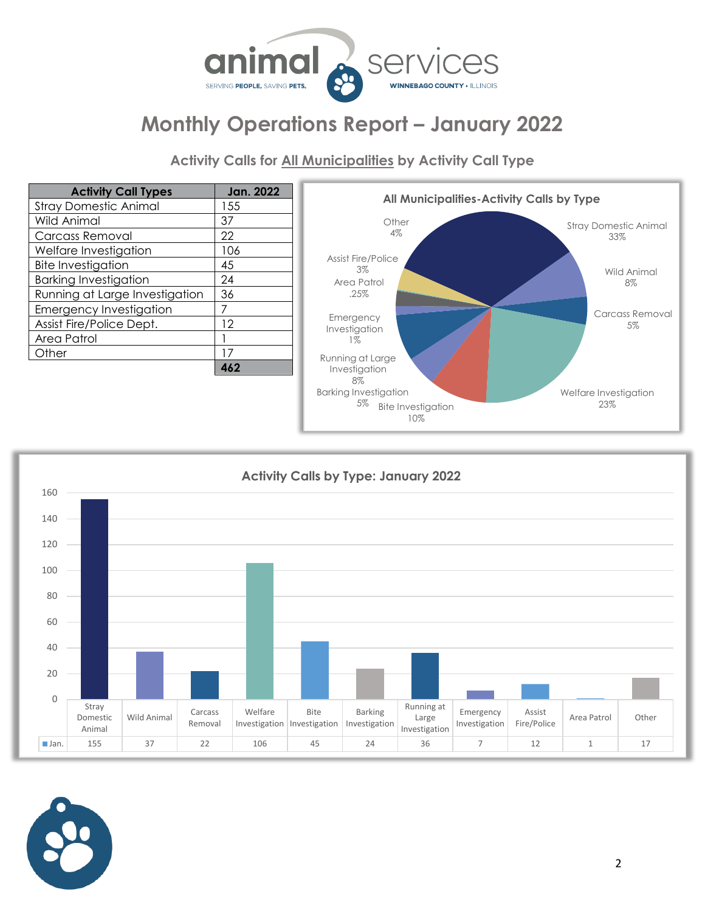

**Activity Calls for All Municipalities by Activity Call Type**

| <b>Activity Call Types</b>     | <b>Jan. 2022</b> |
|--------------------------------|------------------|
| <b>Stray Domestic Animal</b>   | 155              |
| <b>Wild Animal</b>             | 37               |
| <b>Carcass Removal</b>         | 22               |
| Welfare Investigation          | 106              |
| <b>Bite Investigation</b>      | 45               |
| <b>Barking Investigation</b>   | 24               |
| Running at Large Investigation | 36               |
| <b>Emergency Investigation</b> |                  |
| Assist Fire/Police Dept.       | 12               |
| Area Patrol                    |                  |
| Other                          | 17               |
|                                | 462              |





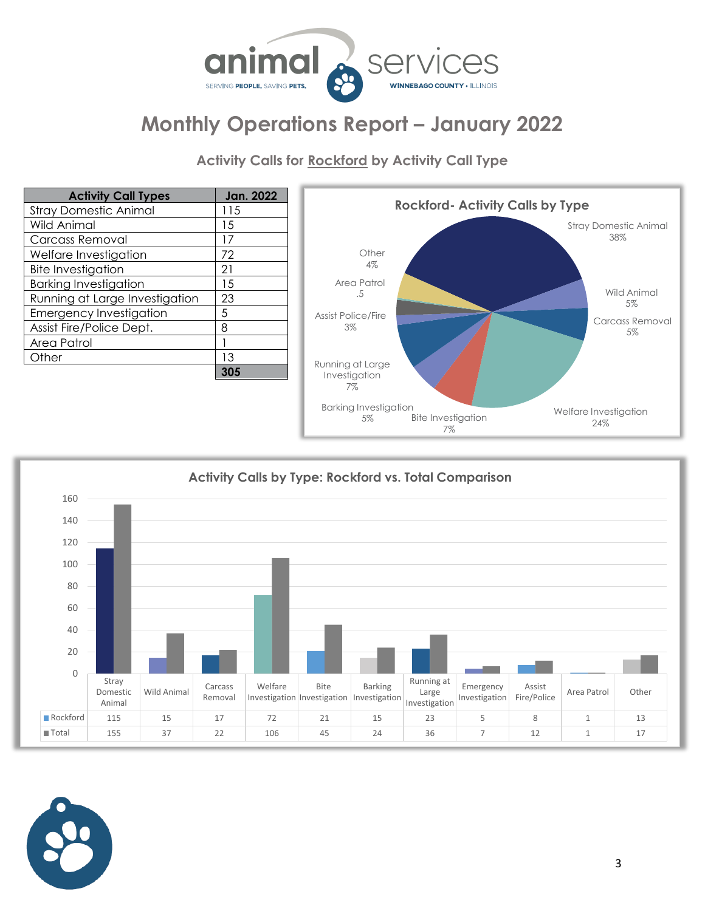

**Activity Calls for Rockford by Activity Call Type**

| <b>Activity Call Types</b>     | Jan. 2022 |
|--------------------------------|-----------|
| <b>Stray Domestic Animal</b>   | 115       |
| Wild Animal                    | 15        |
| <b>Carcass Removal</b>         | 17        |
| Welfare Investigation          | 72        |
| <b>Bite Investigation</b>      | 21        |
| <b>Barking Investigation</b>   | 15        |
| Running at Large Investigation | 23        |
| <b>Emergency Investigation</b> | 5         |
| Assist Fire/Police Dept.       | 8         |
| Area Patrol                    |           |
| Other                          | 13        |
|                                |           |





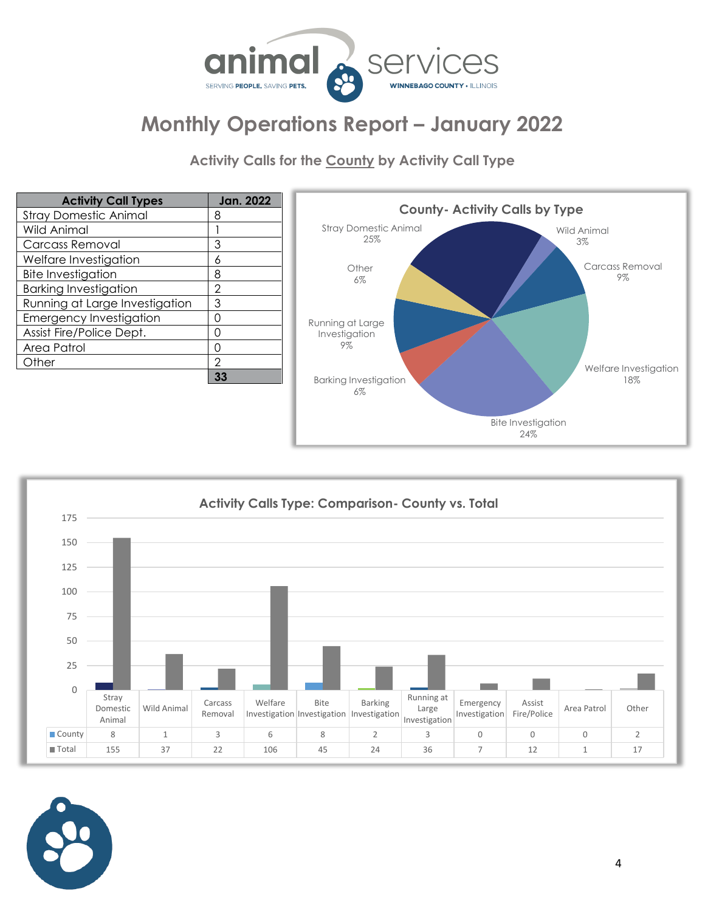

**Activity Calls for the County by Activity Call Type**

| <b>Activity Call Types</b>     | <b>Jan. 2022</b> |                                        |
|--------------------------------|------------------|----------------------------------------|
| <b>Stray Domestic Animal</b>   | 8                |                                        |
| <b>Wild Animal</b>             |                  | <b>Stray Domestic</b>                  |
| Carcass Removal                | 3                | 25%                                    |
| Welfare Investigation          | 6                |                                        |
| <b>Bite Investigation</b>      | 8                | Other<br>$6\%$                         |
| <b>Barking Investigation</b>   | 2                |                                        |
| Running at Large Investigation | 3                |                                        |
| <b>Emergency Investigation</b> | Ω                | Running at Large                       |
| Assist Fire/Police Dept.       |                  | Investigation                          |
| Area Patrol                    | Ω                | 9%                                     |
| Other                          | $\mathcal{P}$    |                                        |
|                                | 33               | <b>Barking Investigo</b><br>$\sqrt{2}$ |





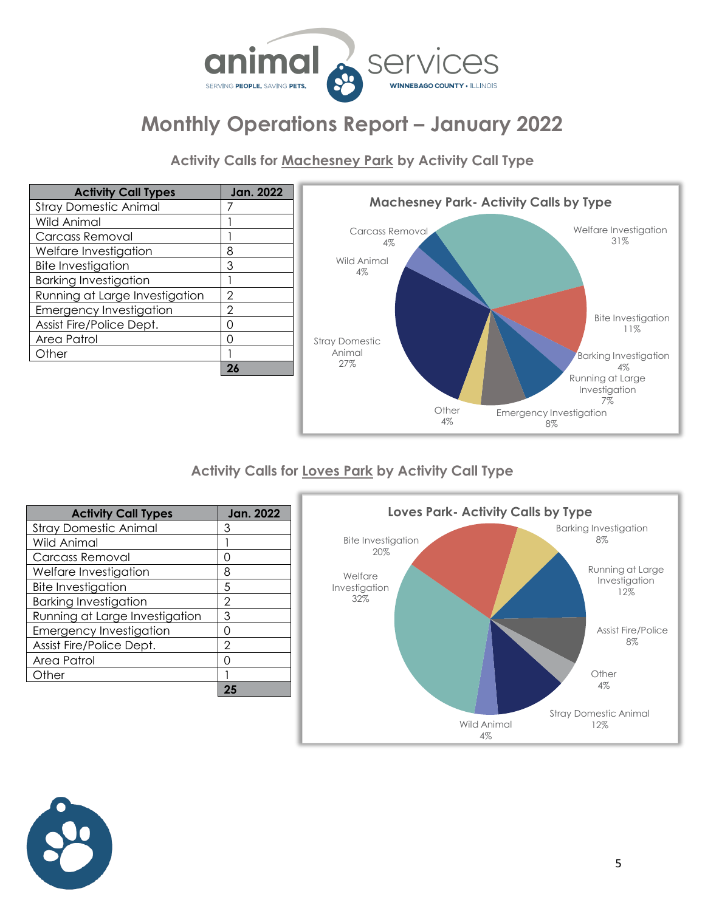

**Activity Calls for Machesney Park by Activity Call Type**

| <b>Activity Call Types</b>     | Jan. 2022 |
|--------------------------------|-----------|
| <b>Stray Domestic Animal</b>   |           |
| Wild Animal                    |           |
| <b>Carcass Removal</b>         |           |
| Welfare Investigation          | 8         |
| <b>Bite Investigation</b>      | 3         |
| <b>Barking Investigation</b>   |           |
| Running at Large Investigation | 2         |
| <b>Emergency Investigation</b> | 2         |
| Assist Fire/Police Dept.       | Ω         |
| Area Patrol                    | Ω         |
| Other                          |           |
|                                | 26        |



#### **Activity Calls for Loves Park by Activity Call Type**

| <b>Activity Call Types</b>     | Jan. 2022 |
|--------------------------------|-----------|
| <b>Stray Domestic Animal</b>   | 3         |
| Wild Animal                    |           |
| Carcass Removal                | Ω         |
| Welfare Investigation          | 8         |
| <b>Bite Investigation</b>      | 5         |
| <b>Barking Investigation</b>   | 2         |
| Running at Large Investigation | 3         |
| <b>Emergency Investigation</b> | Ω         |
| Assist Fire/Police Dept.       | 2         |
| Area Patrol                    | ∩         |
| Other                          |           |
|                                |           |



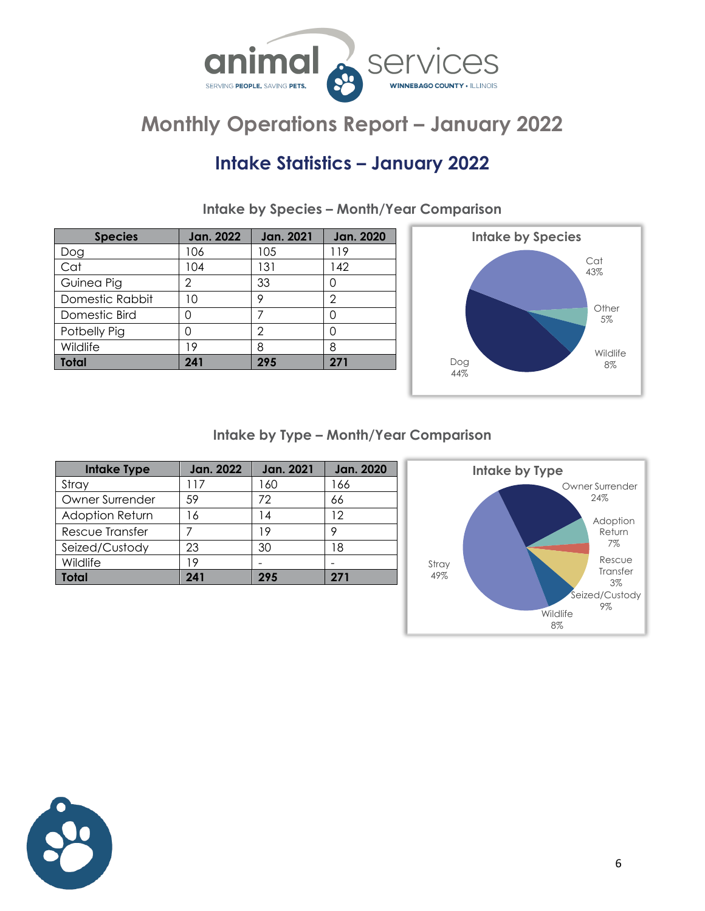

### **Intake Statistics – January 2022**

| <b>Species</b>  | <b>Jan. 2022</b> | <b>Jan. 2021</b> | <b>Jan. 2020</b> |
|-----------------|------------------|------------------|------------------|
| Dog             | 106              | 105              | 119              |
| Cat             | 104              | 131              | 142              |
| Guinea Pig      | 2                | 33               | Ω                |
| Domestic Rabbit | 10               | 9                | 2                |
| Domestic Bird   | 0                |                  | Ω                |
| Potbelly Pig    |                  | 2                | Λ                |
| Wildlife        | 19               | 8                | 8                |
| <b>Total</b>    | 241              | 295              | 271              |
|                 |                  |                  |                  |

**Intake by Species – Month/Year Comparison**



**Intake by Type – Month/Year Comparison**

| <b>Intake Type</b> | Jan. 2022 | <b>Jan. 2021</b> | <b>Jan. 2020</b> |
|--------------------|-----------|------------------|------------------|
| Stray              | l 17      | 160              | 166              |
| Owner Surrender    | 59        | 72               | 66               |
| Adoption Return    | 16        | 14               | 12               |
| Rescue Transfer    |           | 19               | o                |
| Seized/Custody     | 23        | 30               | 18               |
| Wildlife           | 19        |                  |                  |
| <b>Total</b>       | 241       | 295              | 271              |



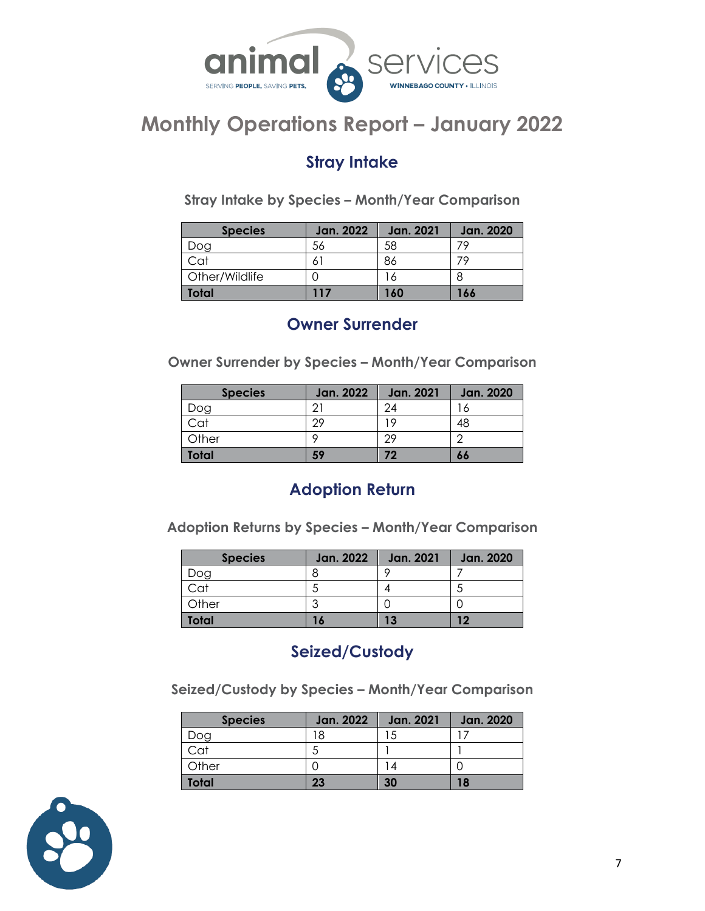

#### **Stray Intake**

**Stray Intake by Species – Month/Year Comparison**

| <b>Species</b> | <b>Jan. 2022</b> | <b>Jan. 2021</b> | <b>Jan. 2020</b> |
|----------------|------------------|------------------|------------------|
| Dog            | 56               | 58               |                  |
| Cat            |                  | 86               |                  |
| Other/Wildlife |                  | 6                |                  |
| Total          | 117              | 160              | 166              |

#### **Owner Surrender**

**Owner Surrender by Species – Month/Year Comparison**

| <b>Species</b> | <b>Jan. 2022</b> | <b>Jan. 2021</b> | <b>Jan. 2020</b> |
|----------------|------------------|------------------|------------------|
| )og            |                  | 24               | $\circ$          |
| Cat            | 29               | 19               | 48               |
| Other          |                  | 29               | $\sqrt{2}$       |
| Total          | 59               | 72               | 66               |

### **Adoption Return**

**Adoption Returns by Species – Month/Year Comparison**

| <b>Species</b> | <b>Jan. 2022</b> | <b>Jan. 2021</b> | <b>Jan. 2020</b> |
|----------------|------------------|------------------|------------------|
| yog            |                  |                  |                  |
| Cat            |                  |                  | Ċ.               |
| Other          |                  |                  |                  |
| <b>Total</b>   | $\bullet$        | 13               |                  |

### **Seized/Custody**

**Seized/Custody by Species – Month/Year Comparison**

| <b>Species</b> | <b>Jan. 2022</b> | <b>Jan. 2021</b> | Jan. 2020 |
|----------------|------------------|------------------|-----------|
| Dog            | 18               |                  |           |
| Cat            | с                |                  |           |
| Other          |                  |                  |           |
| <b>Total</b>   | 23               | 30               | 18        |

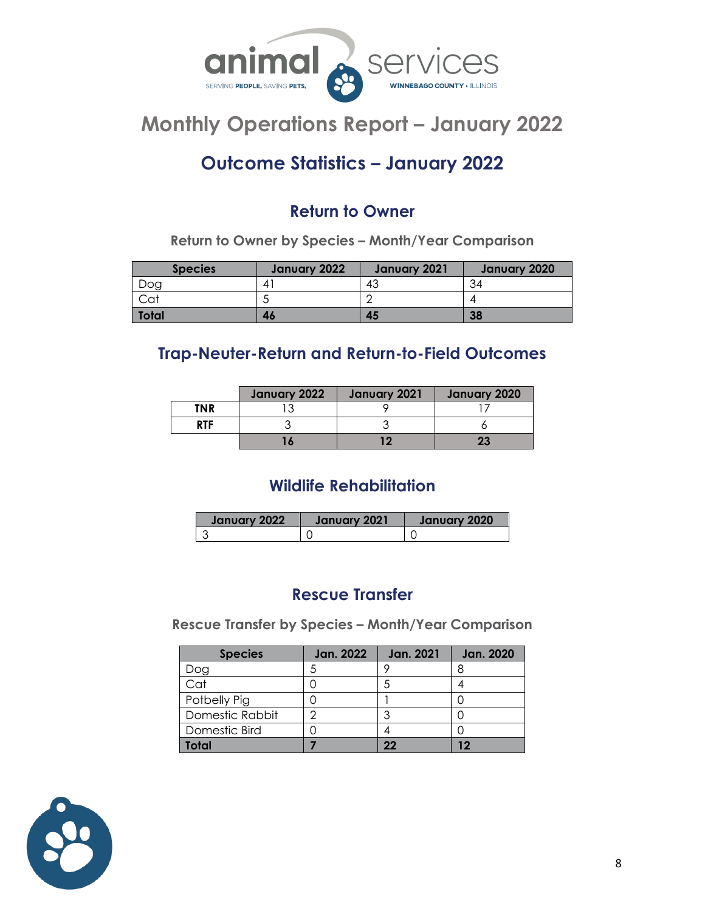

### **Outcome Statistics – January 2022**

### **Return to Owner**

**Return to Owner by Species – Month/Year Comparison**

| <b>Species</b> | January 2022 | January 2021 | January 2020 |
|----------------|--------------|--------------|--------------|
| Doq            |              | 43           | 34           |
|                |              |              |              |
| <b>Total</b>   | 46           | 45           | 38           |

#### **Trap-Neuter-Return and Return-to-Field Outcomes**

|            | January 2022 | January 2021 | January 2020 |
|------------|--------------|--------------|--------------|
| <b>TNR</b> |              |              |              |
| <b>RTF</b> |              |              |              |
|            | 16           | 10           | 23           |

### **Wildlife Rehabilitation**

| January 2022 | January 2021 | January 2020 |
|--------------|--------------|--------------|
|              |              |              |

#### **Rescue Transfer**

**Rescue Transfer by Species – Month/Year Comparison**

| <b>Species</b>  | Jan. 2022 | <b>Jan. 2021</b> | <b>Jan. 2020</b> |
|-----------------|-----------|------------------|------------------|
| )og             |           |                  |                  |
| $\overline{c}$  |           |                  |                  |
| Potbelly Pig    |           |                  |                  |
| Domestic Rabbit |           |                  |                  |
| Domestic Bird   |           |                  |                  |
| ntal            |           | 22               |                  |

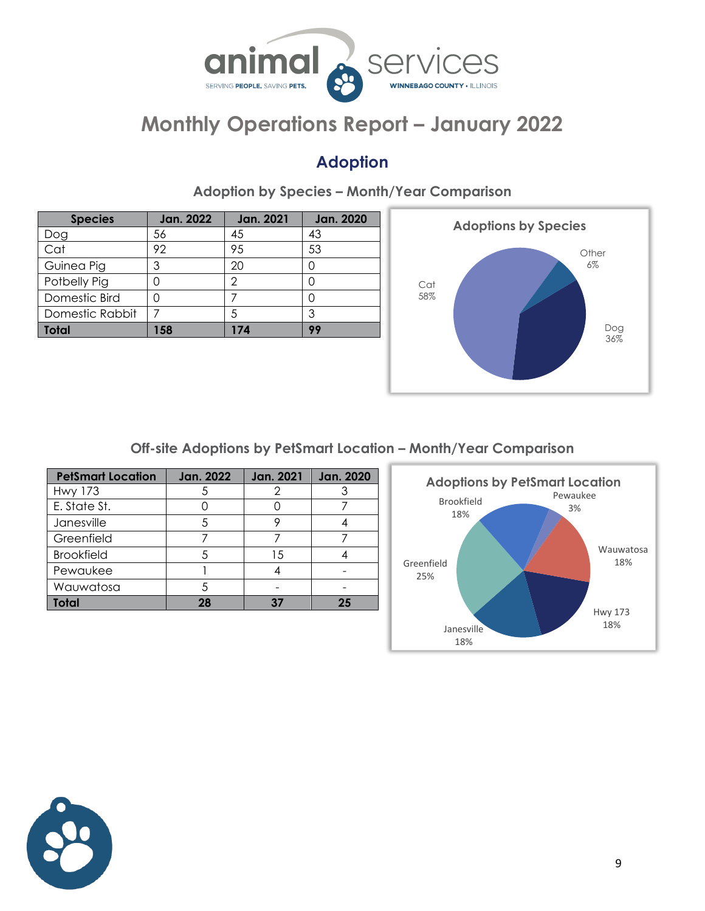

### **Adoption**

| <b>Species</b>  | Jan. 2022 | <b>Jan. 2021</b> | <b>Jan. 2020</b> |
|-----------------|-----------|------------------|------------------|
| Dog             | 56        | 45               | 43               |
| Cat             | 92        | 95               | 53               |
| Guinea Pig      | 3         | 20               |                  |
| Potbelly Pig    |           | 2                |                  |
| Domestic Bird   |           |                  |                  |
| Domestic Rabbit |           | 5                | 3                |
| <b>Total</b>    | 158       | 174              | 99               |
|                 |           |                  |                  |

**Adoption by Species – Month/Year Comparison**



**Off-site Adoptions by PetSmart Location – Month/Year Comparison**

| <b>PetSmart Location</b> | <b>Jan. 2022</b> | <b>Jan. 2021</b> | <b>Jan. 2020</b> |
|--------------------------|------------------|------------------|------------------|
| <b>Hwy 173</b>           |                  | 2                |                  |
| E. State St.             |                  |                  |                  |
| Janesville               |                  |                  |                  |
| Greenfield               |                  |                  |                  |
| <b>Brookfield</b>        | 5                | 15               |                  |
| Pewaukee                 |                  |                  |                  |
| Wauwatosa                | 5                |                  |                  |
| <b>Total</b>             | 28               | 37               | 25               |